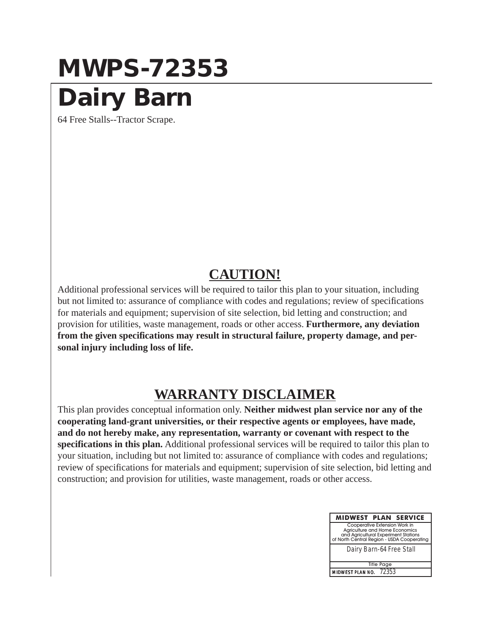## **MWPS-72353**

## **Dairy Barn**

64 Free Stalls--Tractor Scrape.

## **CAUTION!**

Additional professional services will be required to tailor this plan to your situation, including but not limited to: assurance of compliance with codes and regulations; review of specifications for materials and equipment; supervision of site selection, bid letting and construction; and provision for utilities, waste management, roads or other access. **Furthermore, any deviation from the given specifications may result in structural failure, property damage, and personal injury including loss of life.**

## **WARRANTY DISCLAIMER**

This plan provides conceptual information only. **Neither midwest plan service nor any of the cooperating land-grant universities, or their respective agents or employees, have made, and do not hereby make, any representation, warranty or covenant with respect to the specifications in this plan.** Additional professional services will be required to tailor this plan to your situation, including but not limited to: assurance of compliance with codes and regulations; review of specifications for materials and equipment; supervision of site selection, bid letting and construction; and provision for utilities, waste management, roads or other access.

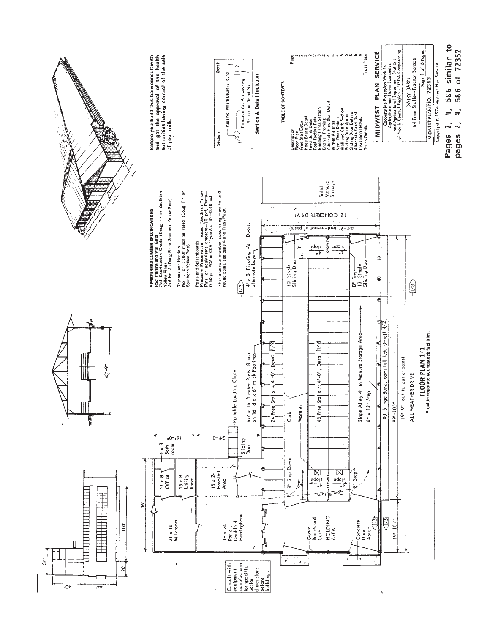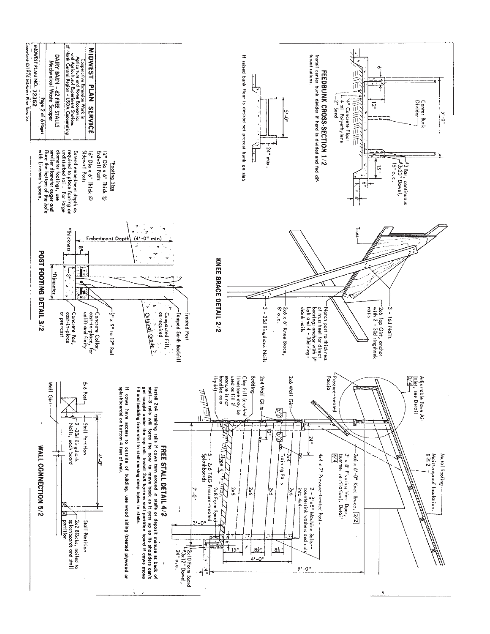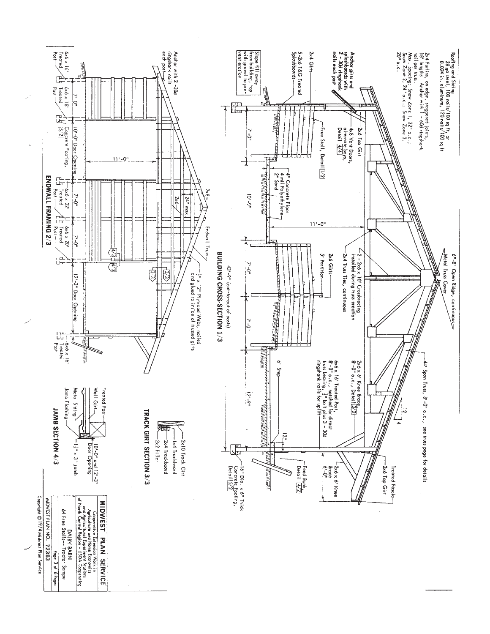

**A**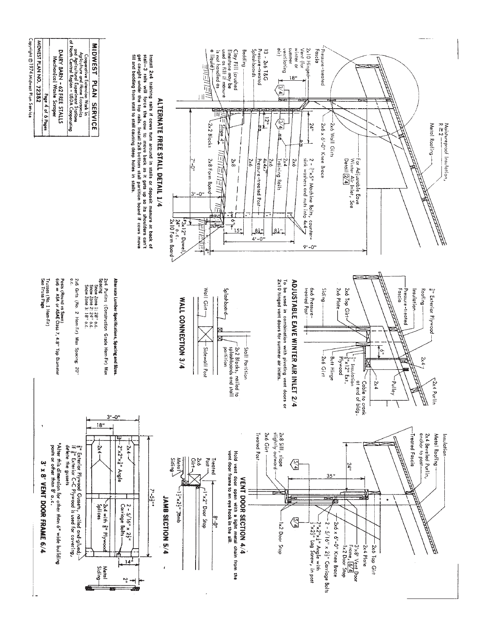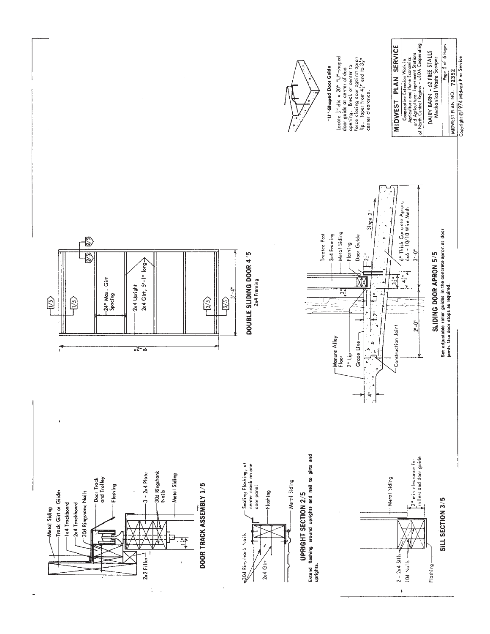